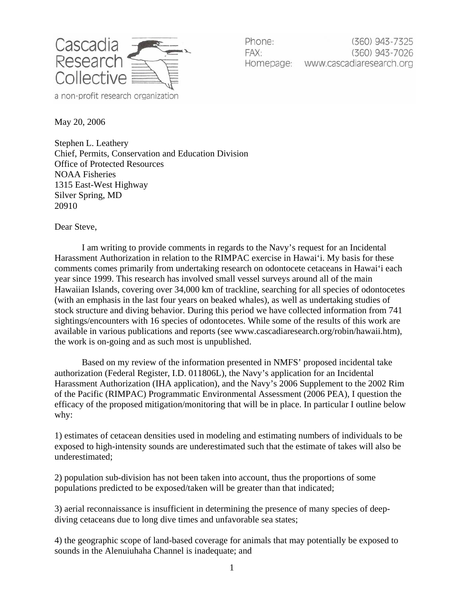

(360) 943-7325 Phone: FAX.  $(360)$  943-7026 Homepage: www.cascadiaresearch.org

May 20, 2006

Stephen L. Leathery Chief, Permits, Conservation and Education Division Office of Protected Resources NOAA Fisheries 1315 East-West Highway Silver Spring, MD 20910

Dear Steve,

I am writing to provide comments in regards to the Navy's request for an Incidental Harassment Authorization in relation to the RIMPAC exercise in Hawai'i. My basis for these comments comes primarily from undertaking research on odontocete cetaceans in Hawai'i each year since 1999. This research has involved small vessel surveys around all of the main Hawaiian Islands, covering over 34,000 km of trackline, searching for all species of odontocetes (with an emphasis in the last four years on beaked whales), as well as undertaking studies of stock structure and diving behavior. During this period we have collected information from 741 sightings/encounters with 16 species of odontocetes. While some of the results of this work are available in various publications and reports (see www.cascadiaresearch.org/robin/hawaii.htm), the work is on-going and as such most is unpublished.

Based on my review of the information presented in NMFS' proposed incidental take authorization (Federal Register, I.D. 011806L), the Navy's application for an Incidental Harassment Authorization (IHA application), and the Navy's 2006 Supplement to the 2002 Rim of the Pacific (RIMPAC) Programmatic Environmental Assessment (2006 PEA), I question the efficacy of the proposed mitigation/monitoring that will be in place. In particular I outline below why:

1) estimates of cetacean densities used in modeling and estimating numbers of individuals to be exposed to high-intensity sounds are underestimated such that the estimate of takes will also be underestimated;

2) population sub-division has not been taken into account, thus the proportions of some populations predicted to be exposed/taken will be greater than that indicated;

3) aerial reconnaissance is insufficient in determining the presence of many species of deepdiving cetaceans due to long dive times and unfavorable sea states;

4) the geographic scope of land-based coverage for animals that may potentially be exposed to sounds in the Alenuiuhaha Channel is inadequate; and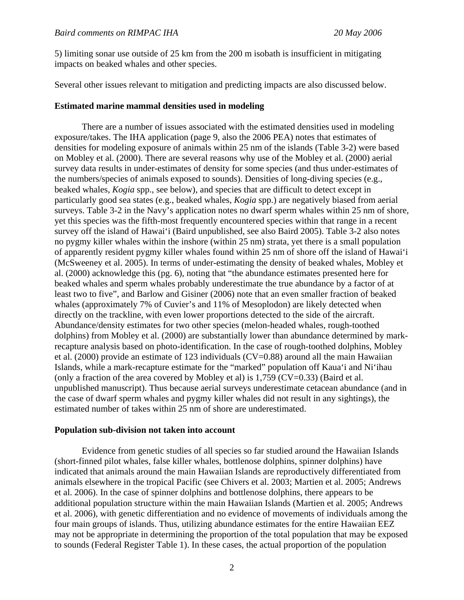5) limiting sonar use outside of 25 km from the 200 m isobath is insufficient in mitigating impacts on beaked whales and other species.

Several other issues relevant to mitigation and predicting impacts are also discussed below.

### **Estimated marine mammal densities used in modeling**

There are a number of issues associated with the estimated densities used in modeling exposure/takes. The IHA application (page 9, also the 2006 PEA) notes that estimates of densities for modeling exposure of animals within 25 nm of the islands (Table 3-2) were based on Mobley et al. (2000). There are several reasons why use of the Mobley et al. (2000) aerial survey data results in under-estimates of density for some species (and thus under-estimates of the numbers/species of animals exposed to sounds). Densities of long-diving species (e.g., beaked whales, *Kogia* spp., see below), and species that are difficult to detect except in particularly good sea states (e.g., beaked whales, *Kogia* spp.) are negatively biased from aerial surveys. Table 3-2 in the Navy's application notes no dwarf sperm whales within 25 nm of shore, yet this species was the fifth-most frequently encountered species within that range in a recent survey off the island of Hawai'i (Baird unpublished, see also Baird 2005). Table 3-2 also notes no pygmy killer whales within the inshore (within 25 nm) strata, yet there is a small population of apparently resident pygmy killer whales found within 25 nm of shore off the island of Hawai'i (McSweeney et al. 2005). In terms of under-estimating the density of beaked whales, Mobley et al. (2000) acknowledge this (pg. 6), noting that "the abundance estimates presented here for beaked whales and sperm whales probably underestimate the true abundance by a factor of at least two to five", and Barlow and Gisiner (2006) note that an even smaller fraction of beaked whales (approximately 7% of Cuvier's and 11% of Mesoplodon) are likely detected when directly on the trackline, with even lower proportions detected to the side of the aircraft. Abundance/density estimates for two other species (melon-headed whales, rough-toothed dolphins) from Mobley et al. (2000) are substantially lower than abundance determined by markrecapture analysis based on photo-identification. In the case of rough-toothed dolphins, Mobley et al. (2000) provide an estimate of 123 individuals (CV=0.88) around all the main Hawaiian Islands, while a mark-recapture estimate for the "marked" population off Kaua'i and Ni'ihau (only a fraction of the area covered by Mobley et al) is  $1,759$  (CV=0.33) (Baird et al. unpublished manuscript). Thus because aerial surveys underestimate cetacean abundance (and in the case of dwarf sperm whales and pygmy killer whales did not result in any sightings), the estimated number of takes within 25 nm of shore are underestimated.

#### **Population sub-division not taken into account**

Evidence from genetic studies of all species so far studied around the Hawaiian Islands (short-finned pilot whales, false killer whales, bottlenose dolphins, spinner dolphins) have indicated that animals around the main Hawaiian Islands are reproductively differentiated from animals elsewhere in the tropical Pacific (see Chivers et al. 2003; Martien et al. 2005; Andrews et al. 2006). In the case of spinner dolphins and bottlenose dolphins, there appears to be additional population structure within the main Hawaiian Islands (Martien et al. 2005; Andrews et al. 2006), with genetic differentiation and no evidence of movements of individuals among the four main groups of islands. Thus, utilizing abundance estimates for the entire Hawaiian EEZ may not be appropriate in determining the proportion of the total population that may be exposed to sounds (Federal Register Table 1). In these cases, the actual proportion of the population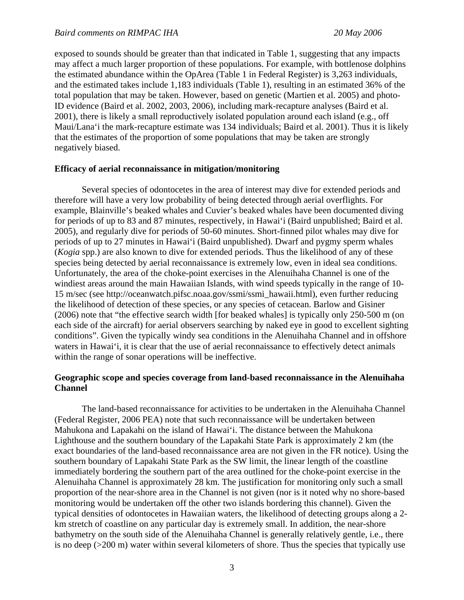exposed to sounds should be greater than that indicated in Table 1, suggesting that any impacts may affect a much larger proportion of these populations. For example, with bottlenose dolphins the estimated abundance within the OpArea (Table 1 in Federal Register) is 3,263 individuals, and the estimated takes include 1,183 individuals (Table 1), resulting in an estimated 36% of the total population that may be taken. However, based on genetic (Martien et al. 2005) and photo-ID evidence (Baird et al. 2002, 2003, 2006), including mark-recapture analyses (Baird et al. 2001), there is likely a small reproductively isolated population around each island (e.g., off Maui/Lana'i the mark-recapture estimate was 134 individuals; Baird et al. 2001). Thus it is likely that the estimates of the proportion of some populations that may be taken are strongly negatively biased.

### **Efficacy of aerial reconnaissance in mitigation/monitoring**

Several species of odontocetes in the area of interest may dive for extended periods and therefore will have a very low probability of being detected through aerial overflights. For example, Blainville's beaked whales and Cuvier's beaked whales have been documented diving for periods of up to 83 and 87 minutes, respectively, in Hawai'i (Baird unpublished; Baird et al. 2005), and regularly dive for periods of 50-60 minutes. Short-finned pilot whales may dive for periods of up to 27 minutes in Hawai'i (Baird unpublished). Dwarf and pygmy sperm whales (*Kogia* spp.) are also known to dive for extended periods. Thus the likelihood of any of these species being detected by aerial reconnaissance is extremely low, even in ideal sea conditions. Unfortunately, the area of the choke-point exercises in the Alenuihaha Channel is one of the windiest areas around the main Hawaiian Islands, with wind speeds typically in the range of 10- 15 m/sec (see http://oceanwatch.pifsc.noaa.gov/ssmi/ssmi\_hawaii.html), even further reducing the likelihood of detection of these species, or any species of cetacean. Barlow and Gisiner (2006) note that "the effective search width [for beaked whales] is typically only 250-500 m (on each side of the aircraft) for aerial observers searching by naked eye in good to excellent sighting conditions". Given the typically windy sea conditions in the Alenuihaha Channel and in offshore waters in Hawai'i, it is clear that the use of aerial reconnaissance to effectively detect animals within the range of sonar operations will be ineffective.

### **Geographic scope and species coverage from land-based reconnaissance in the Alenuihaha Channel**

The land-based reconnaissance for activities to be undertaken in the Alenuihaha Channel (Federal Register, 2006 PEA) note that such reconnaissance will be undertaken between Mahukona and Lapakahi on the island of Hawai'i. The distance between the Mahukona Lighthouse and the southern boundary of the Lapakahi State Park is approximately 2 km (the exact boundaries of the land-based reconnaissance area are not given in the FR notice). Using the southern boundary of Lapakahi State Park as the SW limit, the linear length of the coastline immediately bordering the southern part of the area outlined for the choke-point exercise in the Alenuihaha Channel is approximately 28 km. The justification for monitoring only such a small proportion of the near-shore area in the Channel is not given (nor is it noted why no shore-based monitoring would be undertaken off the other two islands bordering this channel). Given the typical densities of odontocetes in Hawaiian waters, the likelihood of detecting groups along a 2 km stretch of coastline on any particular day is extremely small. In addition, the near-shore bathymetry on the south side of the Alenuihaha Channel is generally relatively gentle, i.e., there is no deep (>200 m) water within several kilometers of shore. Thus the species that typically use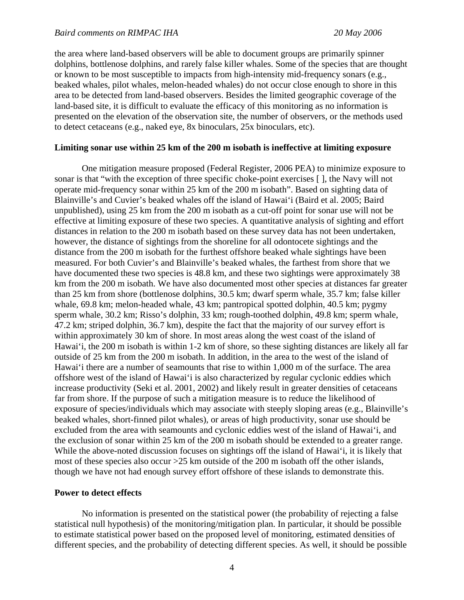the area where land-based observers will be able to document groups are primarily spinner dolphins, bottlenose dolphins, and rarely false killer whales. Some of the species that are thought or known to be most susceptible to impacts from high-intensity mid-frequency sonars (e.g., beaked whales, pilot whales, melon-headed whales) do not occur close enough to shore in this area to be detected from land-based observers. Besides the limited geographic coverage of the land-based site, it is difficult to evaluate the efficacy of this monitoring as no information is presented on the elevation of the observation site, the number of observers, or the methods used to detect cetaceans (e.g., naked eye, 8x binoculars, 25x binoculars, etc).

## **Limiting sonar use within 25 km of the 200 m isobath is ineffective at limiting exposure**

One mitigation measure proposed (Federal Register, 2006 PEA) to minimize exposure to sonar is that "with the exception of three specific choke-point exercises [ ], the Navy will not operate mid-frequency sonar within 25 km of the 200 m isobath". Based on sighting data of Blainville's and Cuvier's beaked whales off the island of Hawai'i (Baird et al. 2005; Baird unpublished), using 25 km from the 200 m isobath as a cut-off point for sonar use will not be effective at limiting exposure of these two species. A quantitative analysis of sighting and effort distances in relation to the 200 m isobath based on these survey data has not been undertaken, however, the distance of sightings from the shoreline for all odontocete sightings and the distance from the 200 m isobath for the furthest offshore beaked whale sightings have been measured. For both Cuvier's and Blainville's beaked whales, the farthest from shore that we have documented these two species is 48.8 km, and these two sightings were approximately 38 km from the 200 m isobath. We have also documented most other species at distances far greater than 25 km from shore (bottlenose dolphins, 30.5 km; dwarf sperm whale, 35.7 km; false killer whale, 69.8 km; melon-headed whale, 43 km; pantropical spotted dolphin, 40.5 km; pygmy sperm whale, 30.2 km; Risso's dolphin, 33 km; rough-toothed dolphin, 49.8 km; sperm whale, 47.2 km; striped dolphin, 36.7 km), despite the fact that the majority of our survey effort is within approximately 30 km of shore. In most areas along the west coast of the island of Hawai'i, the 200 m isobath is within 1-2 km of shore, so these sighting distances are likely all far outside of 25 km from the 200 m isobath. In addition, in the area to the west of the island of Hawai'i there are a number of seamounts that rise to within 1,000 m of the surface. The area offshore west of the island of Hawai'i is also characterized by regular cyclonic eddies which increase productivity (Seki et al. 2001, 2002) and likely result in greater densities of cetaceans far from shore. If the purpose of such a mitigation measure is to reduce the likelihood of exposure of species/individuals which may associate with steeply sloping areas (e.g., Blainville's beaked whales, short-finned pilot whales), or areas of high productivity, sonar use should be excluded from the area with seamounts and cyclonic eddies west of the island of Hawai'i, and the exclusion of sonar within 25 km of the 200 m isobath should be extended to a greater range. While the above-noted discussion focuses on sightings off the island of Hawai'i, it is likely that most of these species also occur >25 km outside of the 200 m isobath off the other islands, though we have not had enough survey effort offshore of these islands to demonstrate this.

### **Power to detect effects**

No information is presented on the statistical power (the probability of rejecting a false statistical null hypothesis) of the monitoring/mitigation plan. In particular, it should be possible to estimate statistical power based on the proposed level of monitoring, estimated densities of different species, and the probability of detecting different species. As well, it should be possible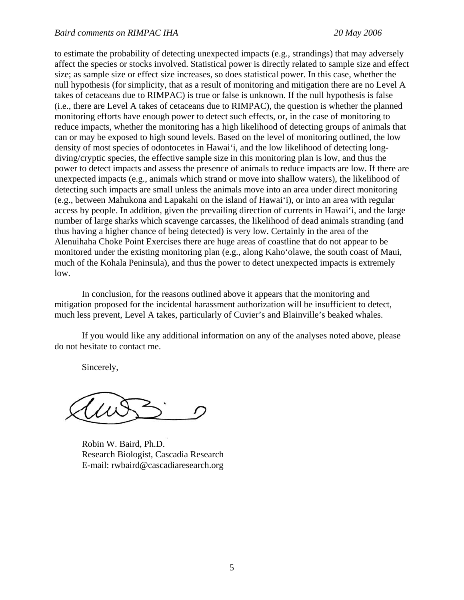to estimate the probability of detecting unexpected impacts (e.g., strandings) that may adversely affect the species or stocks involved. Statistical power is directly related to sample size and effect size; as sample size or effect size increases, so does statistical power. In this case, whether the null hypothesis (for simplicity, that as a result of monitoring and mitigation there are no Level A takes of cetaceans due to RIMPAC) is true or false is unknown. If the null hypothesis is false (i.e., there are Level A takes of cetaceans due to RIMPAC), the question is whether the planned monitoring efforts have enough power to detect such effects, or, in the case of monitoring to reduce impacts, whether the monitoring has a high likelihood of detecting groups of animals that can or may be exposed to high sound levels. Based on the level of monitoring outlined, the low density of most species of odontocetes in Hawai'i, and the low likelihood of detecting longdiving/cryptic species, the effective sample size in this monitoring plan is low, and thus the power to detect impacts and assess the presence of animals to reduce impacts are low. If there are unexpected impacts (e.g., animals which strand or move into shallow waters), the likelihood of detecting such impacts are small unless the animals move into an area under direct monitoring (e.g., between Mahukona and Lapakahi on the island of Hawai'i), or into an area with regular access by people. In addition, given the prevailing direction of currents in Hawai'i, and the large number of large sharks which scavenge carcasses, the likelihood of dead animals stranding (and thus having a higher chance of being detected) is very low. Certainly in the area of the Alenuihaha Choke Point Exercises there are huge areas of coastline that do not appear to be monitored under the existing monitoring plan (e.g., along Kaho'olawe, the south coast of Maui, much of the Kohala Peninsula), and thus the power to detect unexpected impacts is extremely low.

In conclusion, for the reasons outlined above it appears that the monitoring and mitigation proposed for the incidental harassment authorization will be insufficient to detect, much less prevent, Level A takes, particularly of Cuvier's and Blainville's beaked whales.

If you would like any additional information on any of the analyses noted above, please do not hesitate to contact me.

Sincerely,

Robin W. Baird, Ph.D. Research Biologist, Cascadia Research E-mail: rwbaird@cascadiaresearch.org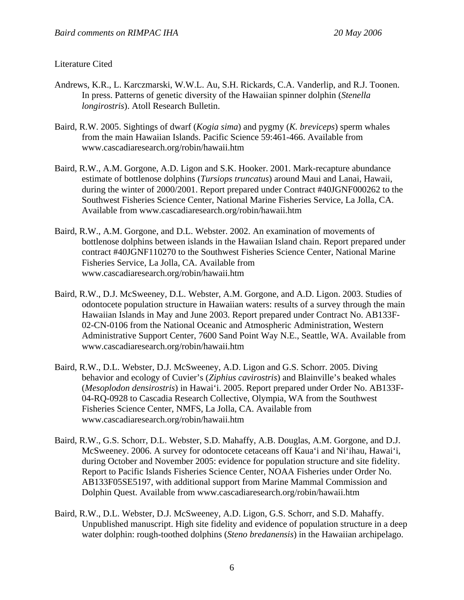# Literature Cited

- Andrews, K.R., L. Karczmarski, W.W.L. Au, S.H. Rickards, C.A. Vanderlip, and R.J. Toonen. In press. Patterns of genetic diversity of the Hawaiian spinner dolphin (*Stenella longirostris*). Atoll Research Bulletin.
- Baird, R.W. 2005. Sightings of dwarf (*Kogia sima*) and pygmy (*K. breviceps*) sperm whales from the main Hawaiian Islands. Pacific Science 59:461-466. Available from www.cascadiaresearch.org/robin/hawaii.htm
- Baird, R.W., A.M. Gorgone, A.D. Ligon and S.K. Hooker. 2001. Mark-recapture abundance estimate of bottlenose dolphins (*Tursiops truncatus*) around Maui and Lanai, Hawaii, during the winter of 2000/2001. Report prepared under Contract #40JGNF000262 to the Southwest Fisheries Science Center, National Marine Fisheries Service, La Jolla, CA. Available from www.cascadiaresearch.org/robin/hawaii.htm
- Baird, R.W., A.M. Gorgone, and D.L. Webster. 2002. An examination of movements of bottlenose dolphins between islands in the Hawaiian Island chain. Report prepared under contract #40JGNF110270 to the Southwest Fisheries Science Center, National Marine Fisheries Service, La Jolla, CA. Available from www.cascadiaresearch.org/robin/hawaii.htm
- Baird, R.W., D.J. McSweeney, D.L. Webster, A.M. Gorgone, and A.D. Ligon. 2003. Studies of odontocete population structure in Hawaiian waters: results of a survey through the main Hawaiian Islands in May and June 2003. Report prepared under Contract No. AB133F-02-CN-0106 from the National Oceanic and Atmospheric Administration, Western Administrative Support Center, 7600 Sand Point Way N.E., Seattle, WA. Available from www.cascadiaresearch.org/robin/hawaii.htm
- Baird, R.W., D.L. Webster, D.J. McSweeney, A.D. Ligon and G.S. Schorr. 2005. Diving behavior and ecology of Cuvier's (*Ziphius cavirostris*) and Blainville's beaked whales (*Mesoplodon densirostris*) in Hawai'i. 2005. Report prepared under Order No. AB133F-04-RQ-0928 to Cascadia Research Collective, Olympia, WA from the Southwest Fisheries Science Center, NMFS, La Jolla, CA. Available from www.cascadiaresearch.org/robin/hawaii.htm
- Baird, R.W., G.S. Schorr, D.L. Webster, S.D. Mahaffy, A.B. Douglas, A.M. Gorgone, and D.J. McSweeney. 2006. A survey for odontocete cetaceans off Kaua'i and Ni'ihau, Hawai'i, during October and November 2005: evidence for population structure and site fidelity. Report to Pacific Islands Fisheries Science Center, NOAA Fisheries under Order No. AB133F05SE5197, with additional support from Marine Mammal Commission and Dolphin Quest. Available from www.cascadiaresearch.org/robin/hawaii.htm
- Baird, R.W., D.L. Webster, D.J. McSweeney, A.D. Ligon, G.S. Schorr, and S.D. Mahaffy. Unpublished manuscript. High site fidelity and evidence of population structure in a deep water dolphin: rough-toothed dolphins (*Steno bredanensis*) in the Hawaiian archipelago.